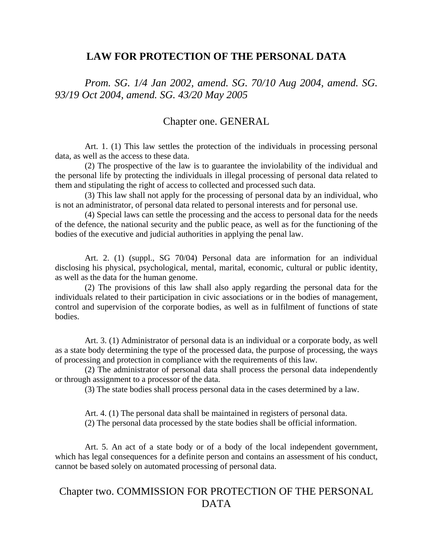### **LAW FOR PROTECTION OF THE PERSONAL DATA**

*Prom. SG. 1/4 Jan 2002, amend. SG. 70/10 Aug 2004, amend. SG. 93/19 Oct 2004, amend. SG. 43/20 May 2005* 

## Chapter one. GENERAL

Art. 1. (1) This law settles the protection of the individuals in processing personal data, as well as the access to these data.

(2) The prospective of the law is to guarantee the inviolability of the individual and the personal life by protecting the individuals in illegal processing of personal data related to them and stipulating the right of access to collected and processed such data.

(3) This law shall not apply for the processing of personal data by an individual, who is not an administrator, of personal data related to personal interests and for personal use.

(4) Special laws can settle the processing and the access to personal data for the needs of the defence, the national security and the public peace, as well as for the functioning of the bodies of the executive and judicial authorities in applying the penal law.

Art. 2. (1) (suppl., SG 70/04) Personal data are information for an individual disclosing his physical, psychological, mental, marital, economic, cultural or public identity, as well as the data for the human genome.

(2) The provisions of this law shall also apply regarding the personal data for the individuals related to their participation in civic associations or in the bodies of management, control and supervision of the corporate bodies, as well as in fulfilment of functions of state bodies.

Art. 3. (1) Administrator of personal data is an individual or a corporate body, as well as a state body determining the type of the processed data, the purpose of processing, the ways of processing and protection in compliance with the requirements of this law.

(2) The administrator of personal data shall process the personal data independently or through assignment to a processor of the data.

(3) The state bodies shall process personal data in the cases determined by a law.

Art. 4. (1) The personal data shall be maintained in registers of personal data.

(2) The personal data processed by the state bodies shall be official information.

Art. 5. An act of a state body or of a body of the local independent government, which has legal consequences for a definite person and contains an assessment of his conduct, cannot be based solely on automated processing of personal data.

# Chapter two. COMMISSION FOR PROTECTION OF THE PERSONAL DATA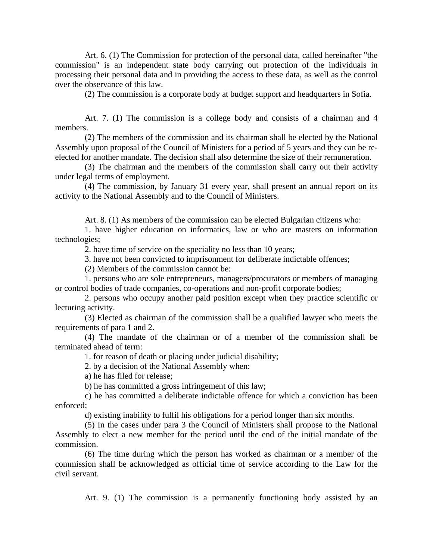Art. 6. (1) The Commission for protection of the personal data, called hereinafter "the commission" is an independent state body carrying out protection of the individuals in processing their personal data and in providing the access to these data, as well as the control over the observance of this law.

(2) The commission is a corporate body at budget support and headquarters in Sofia.

Art. 7. (1) The commission is a college body and consists of a chairman and 4 members.

(2) The members of the commission and its chairman shall be elected by the National Assembly upon proposal of the Council of Ministers for a period of 5 years and they can be reelected for another mandate. The decision shall also determine the size of their remuneration.

(3) The chairman and the members of the commission shall carry out their activity under legal terms of employment.

(4) The commission, by January 31 every year, shall present an annual report on its activity to the National Assembly and to the Council of Ministers.

Art. 8. (1) As members of the commission can be elected Bulgarian citizens who:

1. have higher education on informatics, law or who are masters on information technologies;

2. have time of service on the speciality no less than 10 years;

3. have not been convicted to imprisonment for deliberate indictable offences;

(2) Members of the commission cannot be:

1. persons who are sole entrepreneurs, managers/procurators or members of managing or control bodies of trade companies, co-operations and non-profit corporate bodies;

2. persons who occupy another paid position except when they practice scientific or lecturing activity.

(3) Elected as chairman of the commission shall be a qualified lawyer who meets the requirements of para 1 and 2.

(4) The mandate of the chairman or of a member of the commission shall be terminated ahead of term:

1. for reason of death or placing under judicial disability;

2. by a decision of the National Assembly when:

a) he has filed for release;

b) he has committed a gross infringement of this law;

c) he has committed a deliberate indictable offence for which a conviction has been enforced;

d) existing inability to fulfil his obligations for a period longer than six months.

(5) In the cases under para 3 the Council of Ministers shall propose to the National Assembly to elect a new member for the period until the end of the initial mandate of the commission.

(6) The time during which the person has worked as chairman or a member of the commission shall be acknowledged as official time of service according to the Law for the civil servant.

Art. 9. (1) The commission is a permanently functioning body assisted by an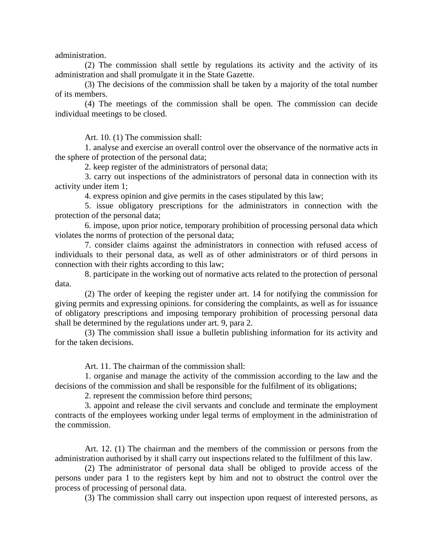administration.

(2) The commission shall settle by regulations its activity and the activity of its administration and shall promulgate it in the State Gazette.

(3) The decisions of the commission shall be taken by a majority of the total number of its members.

(4) The meetings of the commission shall be open. The commission can decide individual meetings to be closed.

Art. 10. (1) The commission shall:

1. analyse and exercise an overall control over the observance of the normative acts in the sphere of protection of the personal data;

2. keep register of the administrators of personal data;

3. carry out inspections of the administrators of personal data in connection with its activity under item 1;

4. express opinion and give permits in the cases stipulated by this law;

5. issue obligatory prescriptions for the administrators in connection with the protection of the personal data;

6. impose, upon prior notice, temporary prohibition of processing personal data which violates the norms of protection of the personal data;

7. consider claims against the administrators in connection with refused access of individuals to their personal data, as well as of other administrators or of third persons in connection with their rights according to this law;

8. participate in the working out of normative acts related to the protection of personal data.

(2) The order of keeping the register under art. 14 for notifying the commission for giving permits and expressing opinions. for considering the complaints, as well as for issuance of obligatory prescriptions and imposing temporary prohibition of processing personal data shall be determined by the regulations under art. 9, para 2.

(3) The commission shall issue a bulletin publishing information for its activity and for the taken decisions.

Art. 11. The chairman of the commission shall:

1. organise and manage the activity of the commission according to the law and the decisions of the commission and shall be responsible for the fulfilment of its obligations;

2. represent the commission before third persons;

3. appoint and release the civil servants and conclude and terminate the employment contracts of the employees working under legal terms of employment in the administration of the commission.

Art. 12. (1) The chairman and the members of the commission or persons from the administration authorised by it shall carry out inspections related to the fulfilment of this law.

(2) The administrator of personal data shall be obliged to provide access of the persons under para 1 to the registers kept by him and not to obstruct the control over the process of processing of personal data.

(3) The commission shall carry out inspection upon request of interested persons, as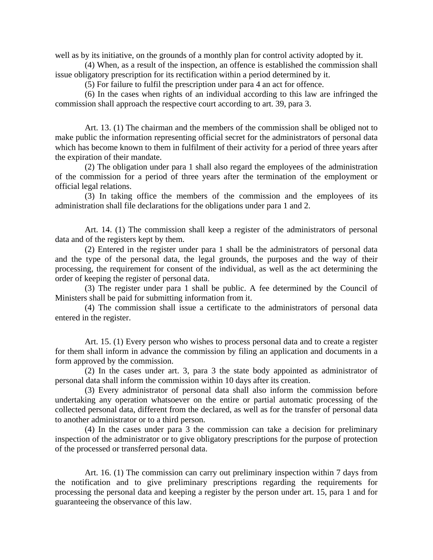well as by its initiative, on the grounds of a monthly plan for control activity adopted by it.

(4) When, as a result of the inspection, an offence is established the commission shall issue obligatory prescription for its rectification within a period determined by it.

(5) For failure to fulfil the prescription under para 4 an act for offence.

(6) In the cases when rights of an individual according to this law are infringed the commission shall approach the respective court according to art. 39, para 3.

Art. 13. (1) The chairman and the members of the commission shall be obliged not to make public the information representing official secret for the administrators of personal data which has become known to them in fulfilment of their activity for a period of three years after the expiration of their mandate.

(2) The obligation under para 1 shall also regard the employees of the administration of the commission for a period of three years after the termination of the employment or official legal relations.

(3) In taking office the members of the commission and the employees of its administration shall file declarations for the obligations under para 1 and 2.

Art. 14. (1) The commission shall keep a register of the administrators of personal data and of the registers kept by them.

(2) Entered in the register under para 1 shall be the administrators of personal data and the type of the personal data, the legal grounds, the purposes and the way of their processing, the requirement for consent of the individual, as well as the act determining the order of keeping the register of personal data.

(3) The register under para 1 shall be public. A fee determined by the Council of Ministers shall be paid for submitting information from it.

(4) The commission shall issue a certificate to the administrators of personal data entered in the register.

Art. 15. (1) Every person who wishes to process personal data and to create a register for them shall inform in advance the commission by filing an application and documents in a form approved by the commission.

(2) In the cases under art. 3, para 3 the state body appointed as administrator of personal data shall inform the commission within 10 days after its creation.

(3) Every administrator of personal data shall also inform the commission before undertaking any operation whatsoever on the entire or partial automatic processing of the collected personal data, different from the declared, as well as for the transfer of personal data to another administrator or to a third person.

(4) In the cases under para 3 the commission can take a decision for preliminary inspection of the administrator or to give obligatory prescriptions for the purpose of protection of the processed or transferred personal data.

Art. 16. (1) The commission can carry out preliminary inspection within 7 days from the notification and to give preliminary prescriptions regarding the requirements for processing the personal data and keeping a register by the person under art. 15, para 1 and for guaranteeing the observance of this law.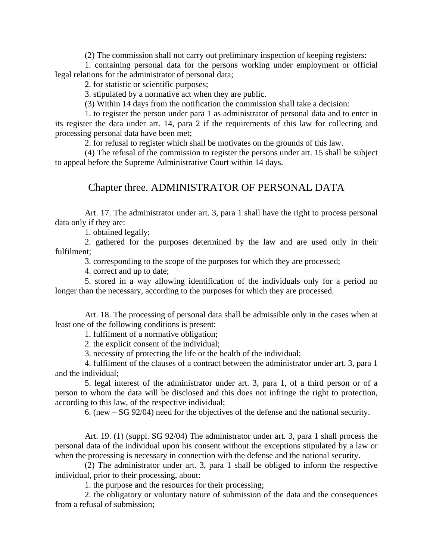(2) The commission shall not carry out preliminary inspection of keeping registers:

1. containing personal data for the persons working under employment or official legal relations for the administrator of personal data;

2. for statistic or scientific purposes;

3. stipulated by a normative act when they are public.

(3) Within 14 days from the notification the commission shall take a decision:

1. to register the person under para 1 as administrator of personal data and to enter in its register the data under art. 14, para 2 if the requirements of this law for collecting and processing personal data have been met;

2. for refusal to register which shall be motivates on the grounds of this law.

(4) The refusal of the commission to register the persons under art. 15 shall be subject to appeal before the Supreme Administrative Court within 14 days.

#### Chapter three. ADMINISTRATOR OF PERSONAL DATA

Art. 17. The administrator under art. 3, para 1 shall have the right to process personal data only if they are:

1. obtained legally;

2. gathered for the purposes determined by the law and are used only in their fulfilment;

3. corresponding to the scope of the purposes for which they are processed;

4. correct and up to date;

5. stored in a way allowing identification of the individuals only for a period no longer than the necessary, according to the purposes for which they are processed.

Art. 18. The processing of personal data shall be admissible only in the cases when at least one of the following conditions is present:

1. fulfilment of a normative obligation;

2. the explicit consent of the individual;

3. necessity of protecting the life or the health of the individual;

4. fulfilment of the clauses of a contract between the administrator under art. 3, para 1 and the individual;

5. legal interest of the administrator under art. 3, para 1, of a third person or of a person to whom the data will be disclosed and this does not infringe the right to protection, according to this law, of the respective individual;

6. (new – SG 92/04) need for the objectives of the defense and the national security.

Art. 19. (1) (suppl. SG 92/04) The administrator under art. 3, para 1 shall process the personal data of the individual upon his consent without the exceptions stipulated by a law or when the processing is necessary in connection with the defense and the national security.

(2) The administrator under art. 3, para 1 shall be obliged to inform the respective individual, prior to their processing, about:

1. the purpose and the resources for their processing;

2. the obligatory or voluntary nature of submission of the data and the consequences from a refusal of submission;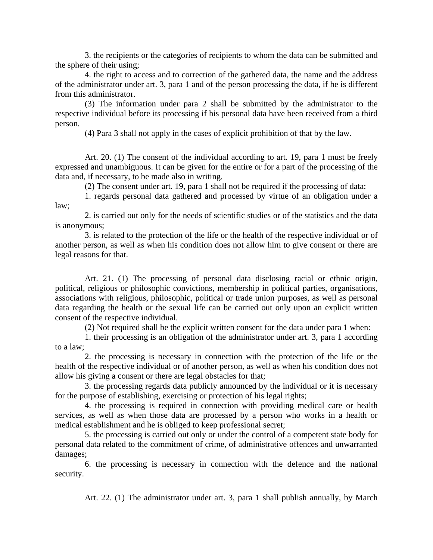3. the recipients or the categories of recipients to whom the data can be submitted and the sphere of their using;

4. the right to access and to correction of the gathered data, the name and the address of the administrator under art. 3, para 1 and of the person processing the data, if he is different from this administrator.

(3) The information under para 2 shall be submitted by the administrator to the respective individual before its processing if his personal data have been received from a third person.

(4) Para 3 shall not apply in the cases of explicit prohibition of that by the law.

Art. 20. (1) The consent of the individual according to art. 19, para 1 must be freely expressed and unambiguous. It can be given for the entire or for a part of the processing of the data and, if necessary, to be made also in writing.

(2) The consent under art. 19, para 1 shall not be required if the processing of data:

1. regards personal data gathered and processed by virtue of an obligation under a law;

2. is carried out only for the needs of scientific studies or of the statistics and the data is anonymous;

3. is related to the protection of the life or the health of the respective individual or of another person, as well as when his condition does not allow him to give consent or there are legal reasons for that.

Art. 21. (1) The processing of personal data disclosing racial or ethnic origin, political, religious or philosophic convictions, membership in political parties, organisations, associations with religious, philosophic, political or trade union purposes, as well as personal data regarding the health or the sexual life can be carried out only upon an explicit written consent of the respective individual.

(2) Not required shall be the explicit written consent for the data under para 1 when:

1. their processing is an obligation of the administrator under art. 3, para 1 according to a law;

2. the processing is necessary in connection with the protection of the life or the health of the respective individual or of another person, as well as when his condition does not allow his giving a consent or there are legal obstacles for that;

3. the processing regards data publicly announced by the individual or it is necessary for the purpose of establishing, exercising or protection of his legal rights;

4. the processing is required in connection with providing medical care or health services, as well as when those data are processed by a person who works in a health or medical establishment and he is obliged to keep professional secret;

5. the processing is carried out only or under the control of a competent state body for personal data related to the commitment of crime, of administrative offences and unwarranted damages;

6. the processing is necessary in connection with the defence and the national security.

Art. 22. (1) The administrator under art. 3, para 1 shall publish annually, by March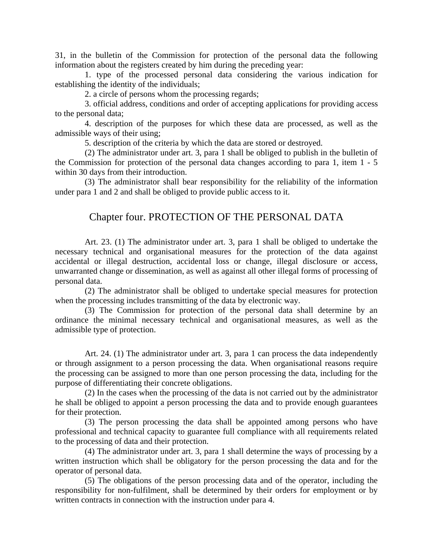31, in the bulletin of the Commission for protection of the personal data the following information about the registers created by him during the preceding year:

1. type of the processed personal data considering the various indication for establishing the identity of the individuals;

2. a circle of persons whom the processing regards;

3. official address, conditions and order of accepting applications for providing access to the personal data;

4. description of the purposes for which these data are processed, as well as the admissible ways of their using;

5. description of the criteria by which the data are stored or destroyed.

(2) The administrator under art. 3, para 1 shall be obliged to publish in the bulletin of the Commission for protection of the personal data changes according to para 1, item 1 - 5 within 30 days from their introduction.

(3) The administrator shall bear responsibility for the reliability of the information under para 1 and 2 and shall be obliged to provide public access to it.

## Chapter four. PROTECTION OF THE PERSONAL DATA

Art. 23. (1) The administrator under art. 3, para 1 shall be obliged to undertake the necessary technical and organisational measures for the protection of the data against accidental or illegal destruction, accidental loss or change, illegal disclosure or access, unwarranted change or dissemination, as well as against all other illegal forms of processing of personal data.

(2) The administrator shall be obliged to undertake special measures for protection when the processing includes transmitting of the data by electronic way.

(3) The Commission for protection of the personal data shall determine by an ordinance the minimal necessary technical and organisational measures, as well as the admissible type of protection.

Art. 24. (1) The administrator under art. 3, para 1 can process the data independently or through assignment to a person processing the data. When organisational reasons require the processing can be assigned to more than one person processing the data, including for the purpose of differentiating their concrete obligations.

(2) In the cases when the processing of the data is not carried out by the administrator he shall be obliged to appoint a person processing the data and to provide enough guarantees for their protection.

(3) The person processing the data shall be appointed among persons who have professional and technical capacity to guarantee full compliance with all requirements related to the processing of data and their protection.

(4) The administrator under art. 3, para 1 shall determine the ways of processing by a written instruction which shall be obligatory for the person processing the data and for the operator of personal data.

(5) The obligations of the person processing data and of the operator, including the responsibility for non-fulfilment, shall be determined by their orders for employment or by written contracts in connection with the instruction under para 4.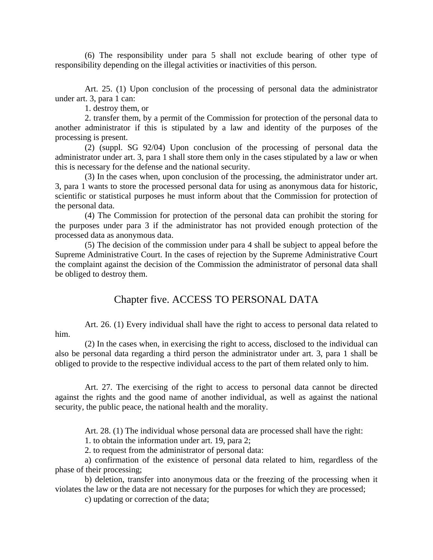(6) The responsibility under para 5 shall not exclude bearing of other type of responsibility depending on the illegal activities or inactivities of this person.

Art. 25. (1) Upon conclusion of the processing of personal data the administrator under art. 3, para 1 can:

1. destroy them, or

2. transfer them, by a permit of the Commission for protection of the personal data to another administrator if this is stipulated by a law and identity of the purposes of the processing is present.

(2) (suppl. SG 92/04) Upon conclusion of the processing of personal data the administrator under art. 3, para 1 shall store them only in the cases stipulated by a law or when this is necessary for the defense and the national security.

(3) In the cases when, upon conclusion of the processing, the administrator under art. 3, para 1 wants to store the processed personal data for using as anonymous data for historic, scientific or statistical purposes he must inform about that the Commission for protection of the personal data.

(4) The Commission for protection of the personal data can prohibit the storing for the purposes under para 3 if the administrator has not provided enough protection of the processed data as anonymous data.

(5) The decision of the commission under para 4 shall be subject to appeal before the Supreme Administrative Court. In the cases of rejection by the Supreme Administrative Court the complaint against the decision of the Commission the administrator of personal data shall be obliged to destroy them.

### Chapter five. ACCESS TO PERSONAL DATA

Art. 26. (1) Every individual shall have the right to access to personal data related to him.

(2) In the cases when, in exercising the right to access, disclosed to the individual can also be personal data regarding a third person the administrator under art. 3, para 1 shall be obliged to provide to the respective individual access to the part of them related only to him.

Art. 27. The exercising of the right to access to personal data cannot be directed against the rights and the good name of another individual, as well as against the national security, the public peace, the national health and the morality.

Art. 28. (1) The individual whose personal data are processed shall have the right:

1. to obtain the information under art. 19, para 2;

2. to request from the administrator of personal data:

a) confirmation of the existence of personal data related to him, regardless of the phase of their processing;

b) deletion, transfer into anonymous data or the freezing of the processing when it violates the law or the data are not necessary for the purposes for which they are processed;

c) updating or correction of the data;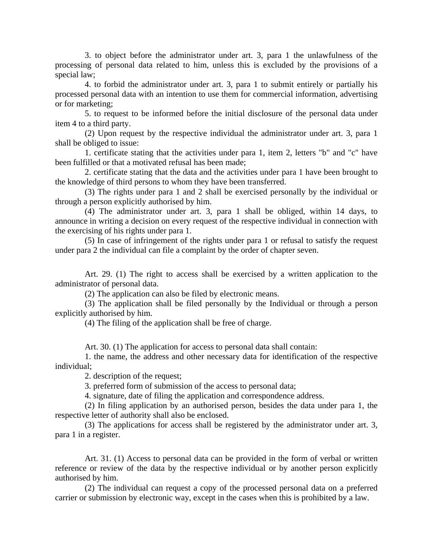3. to object before the administrator under art. 3, para 1 the unlawfulness of the processing of personal data related to him, unless this is excluded by the provisions of a special law;

4. to forbid the administrator under art. 3, para 1 to submit entirely or partially his processed personal data with an intention to use them for commercial information, advertising or for marketing;

5. to request to be informed before the initial disclosure of the personal data under item 4 to a third party.

(2) Upon request by the respective individual the administrator under art. 3, para 1 shall be obliged to issue:

1. certificate stating that the activities under para 1, item 2, letters "b" and "c" have been fulfilled or that a motivated refusal has been made;

2. certificate stating that the data and the activities under para 1 have been brought to the knowledge of third persons to whom they have been transferred.

(3) The rights under para 1 and 2 shall be exercised personally by the individual or through a person explicitly authorised by him.

(4) The administrator under art. 3, para 1 shall be obliged, within 14 days, to announce in writing a decision on every request of the respective individual in connection with the exercising of his rights under para 1.

(5) In case of infringement of the rights under para 1 or refusal to satisfy the request under para 2 the individual can file a complaint by the order of chapter seven.

Art. 29. (1) The right to access shall be exercised by a written application to the administrator of personal data.

(2) The application can also be filed by electronic means.

(3) The application shall be filed personally by the Individual or through a person explicitly authorised by him.

(4) The filing of the application shall be free of charge.

Art. 30. (1) The application for access to personal data shall contain:

1. the name, the address and other necessary data for identification of the respective individual;

2. description of the request;

3. preferred form of submission of the access to personal data;

4. signature, date of filing the application and correspondence address.

(2) In filing application by an authorised person, besides the data under para 1, the respective letter of authority shall also be enclosed.

(3) The applications for access shall be registered by the administrator under art. 3, para 1 in a register.

Art. 31. (1) Access to personal data can be provided in the form of verbal or written reference or review of the data by the respective individual or by another person explicitly authorised by him.

(2) The individual can request a copy of the processed personal data on a preferred carrier or submission by electronic way, except in the cases when this is prohibited by a law.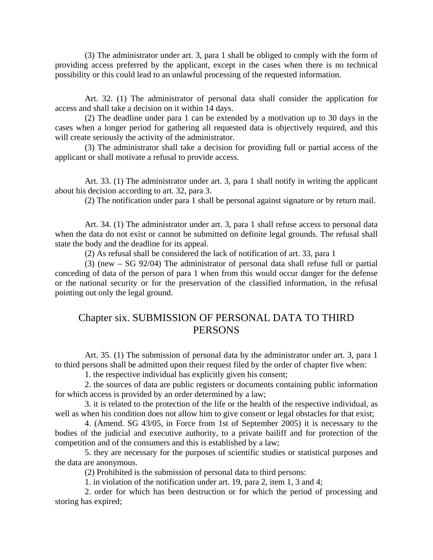(3) The administrator under art. 3, para 1 shall be obliged to comply with the form of providing access preferred by the applicant, except in the cases when there is no technical possibility or this could lead to an unlawful processing of the requested information.

Art. 32. (1) The administrator of personal data shall consider the application for access and shall take a decision on it within 14 days.

(2) The deadline under para 1 can be extended by a motivation up to 30 days in the cases when a longer period for gathering all requested data is objectively required, and this will create seriously the activity of the administrator.

(3) The administrator shall take a decision for providing full or partial access of the applicant or shall motivate a refusal to provide access.

Art. 33. (1) The administrator under art. 3, para 1 shall notify in writing the applicant about his decision according to art. 32, para 3.

(2) The notification under para 1 shall be personal against signature or by return mail.

Art. 34. (1) The administrator under art. 3, para 1 shall refuse access to personal data when the data do not exist or cannot be submitted on definite legal grounds. The refusal shall state the body and the deadline for its appeal.

(2) As refusal shall be considered the lack of notification of art. 33, para 1

(3) (new – SG 92/04) The administrator of personal data shall refuse full or partial conceding of data of the person of para 1 when from this would occur danger for the defense or the national security or for the preservation of the classified information, in the refusal pointing out only the legal ground.

# Chapter six. SUBMISSION OF PERSONAL DATA TO THIRD PERSONS

Art. 35. (1) The submission of personal data by the administrator under art. 3, para 1 to third persons shall be admitted upon their request filed by the order of chapter five when:

1. the respective individual has explicitly given his consent;

2. the sources of data are public registers or documents containing public information for which access is provided by an order determined by a law;

3. it is related to the protection of the life or the health of the respective individual, as well as when his condition does not allow him to give consent or legal obstacles for that exist;

4. (Amend. SG 43/05, in Force from 1st of September 2005) it is necessary to the bodies of the judicial and executive authority, to a private bailiff and for protection of the competition and of the consumers and this is established by a law;

5. they are necessary for the purposes of scientific studies or statistical purposes and the data are anonymous.

(2) Prohibited is the submission of personal data to third persons:

1. in violation of the notification under art. 19, para 2, item 1, 3 and 4;

2. order for which has been destruction or for which the period of processing and storing has expired;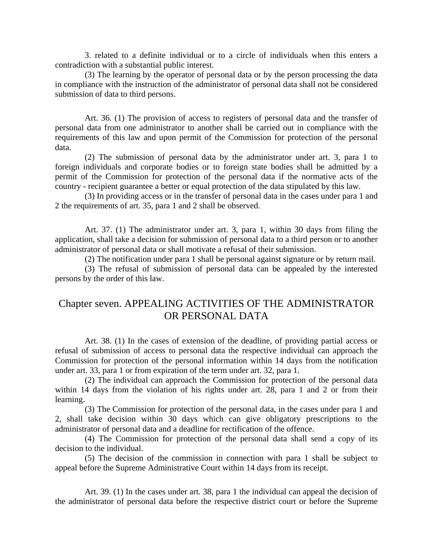3. related to a definite individual or to a circle of individuals when this enters a contradiction with a substantial public interest.

(3) The learning by the operator of personal data or by the person processing the data in compliance with the instruction of the administrator of personal data shall not be considered submission of data to third persons.

Art. 36. (1) The provision of access to registers of personal data and the transfer of personal data from one administrator to another shall be carried out in compliance with the requirements of this law and upon permit of the Commission for protection of the personal data.

(2) The submission of personal data by the administrator under art. 3, para 1 to foreign individuals and corporate bodies or to foreign state bodies shall be admitted by a permit of the Commission for protection of the personal data if the normative acts of the country - recipient guarantee a better or equal protection of the data stipulated by this law.

(3) In providing access or in the transfer of personal data in the cases under para 1 and 2 the requirements of art. 35, para 1 and 2 shall be observed.

Art. 37. (1) The administrator under art. 3, para 1, within 30 days from filing the application, shall take a decision for submission of personal data to a third person or to another administrator of personal data or shall motivate a refusal of their submission.

(2) The notification under para 1 shall be personal against signature or by return mail.

(3) The refusal of submission of personal data can be appealed by the interested persons by the order of this law.

# Chapter seven. APPEALING ACTIVITIES OF THE ADMINISTRATOR OR PERSONAL DATA

Art. 38. (1) In the cases of extension of the deadline, of providing partial access or refusal of submission of access to personal data the respective individual can approach the Commission for protection of the personal information within 14 days from the notification under art. 33, para 1 or from expiration of the term under art. 32, para 1.

(2) The individual can approach the Commission for protection of the personal data within 14 days from the violation of his rights under art. 28, para 1 and 2 or from their learning.

(3) The Commission for protection of the personal data, in the cases under para 1 and 2, shall take decision within 30 days which can give obligatory prescriptions to the administrator of personal data and a deadline for rectification of the offence.

(4) The Commission for protection of the personal data shall send a copy of its decision to the individual.

(5) The decision of the commission in connection with para 1 shall be subject to appeal before the Supreme Administrative Court within 14 days from its receipt.

Art. 39. (1) In the cases under art. 38, para 1 the individual can appeal the decision of the administrator of personal data before the respective district court or before the Supreme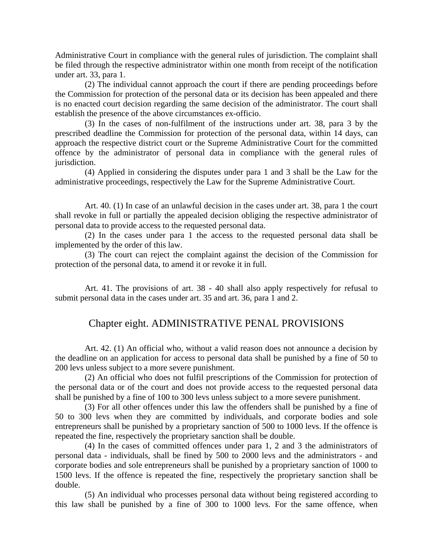Administrative Court in compliance with the general rules of jurisdiction. The complaint shall be filed through the respective administrator within one month from receipt of the notification under art. 33, para 1.

(2) The individual cannot approach the court if there are pending proceedings before the Commission for protection of the personal data or its decision has been appealed and there is no enacted court decision regarding the same decision of the administrator. The court shall establish the presence of the above circumstances ex-officio.

(3) In the cases of non-fulfilment of the instructions under art. 38, para 3 by the prescribed deadline the Commission for protection of the personal data, within 14 days, can approach the respective district court or the Supreme Administrative Court for the committed offence by the administrator of personal data in compliance with the general rules of jurisdiction.

(4) Applied in considering the disputes under para 1 and 3 shall be the Law for the administrative proceedings, respectively the Law for the Supreme Administrative Court.

Art. 40. (1) In case of an unlawful decision in the cases under art. 38, para 1 the court shall revoke in full or partially the appealed decision obliging the respective administrator of personal data to provide access to the requested personal data.

(2) In the cases under para 1 the access to the requested personal data shall be implemented by the order of this law.

(3) The court can reject the complaint against the decision of the Commission for protection of the personal data, to amend it or revoke it in full.

Art. 41. The provisions of art. 38 - 40 shall also apply respectively for refusal to submit personal data in the cases under art. 35 and art. 36, para 1 and 2.

## Chapter eight. ADMINISTRATIVE PENAL PROVISIONS

Art. 42. (1) An official who, without a valid reason does not announce a decision by the deadline on an application for access to personal data shall be punished by a fine of 50 to 200 levs unless subject to a more severe punishment.

(2) An official who does not fulfil prescriptions of the Commission for protection of the personal data or of the court and does not provide access to the requested personal data shall be punished by a fine of 100 to 300 levs unless subject to a more severe punishment.

(3) For all other offences under this law the offenders shall be punished by a fine of 50 to 300 levs when they are committed by individuals, and corporate bodies and sole entrepreneurs shall be punished by a proprietary sanction of 500 to 1000 levs. If the offence is repeated the fine, respectively the proprietary sanction shall be double.

(4) In the cases of committed offences under para 1, 2 and 3 the administrators of personal data - individuals, shall be fined by 500 to 2000 levs and the administrators - and corporate bodies and sole entrepreneurs shall be punished by a proprietary sanction of 1000 to 1500 levs. If the offence is repeated the fine, respectively the proprietary sanction shall be double.

(5) An individual who processes personal data without being registered according to this law shall be punished by a fine of 300 to 1000 levs. For the same offence, when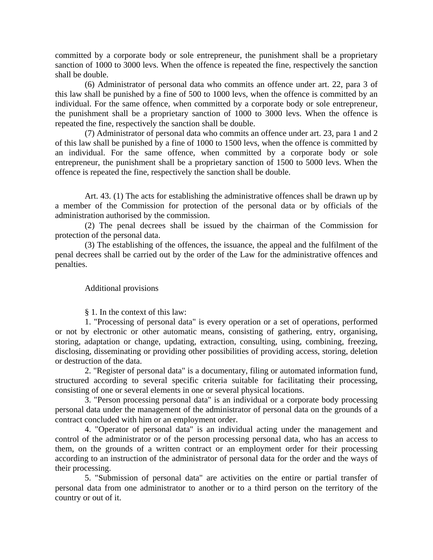committed by a corporate body or sole entrepreneur, the punishment shall be a proprietary sanction of 1000 to 3000 levs. When the offence is repeated the fine, respectively the sanction shall be double.

(6) Administrator of personal data who commits an offence under art. 22, para 3 of this law shall be punished by a fine of 500 to 1000 levs, when the offence is committed by an individual. For the same offence, when committed by a corporate body or sole entrepreneur, the punishment shall be a proprietary sanction of 1000 to 3000 levs. When the offence is repeated the fine, respectively the sanction shall be double.

(7) Administrator of personal data who commits an offence under art. 23, para 1 and 2 of this law shall be punished by a fine of 1000 to 1500 levs, when the offence is committed by an individual. For the same offence, when committed by a corporate body or sole entrepreneur, the punishment shall be a proprietary sanction of 1500 to 5000 levs. When the offence is repeated the fine, respectively the sanction shall be double.

Art. 43. (1) The acts for establishing the administrative offences shall be drawn up by a member of the Commission for protection of the personal data or by officials of the administration authorised by the commission.

(2) The penal decrees shall be issued by the chairman of the Commission for protection of the personal data.

(3) The establishing of the offences, the issuance, the appeal and the fulfilment of the penal decrees shall be carried out by the order of the Law for the administrative offences and penalties.

#### Additional provisions

§ 1. In the context of this law:

1. "Processing of personal data" is every operation or a set of operations, performed or not by electronic or other automatic means, consisting of gathering, entry, organising, storing, adaptation or change, updating, extraction, consulting, using, combining, freezing, disclosing, disseminating or providing other possibilities of providing access, storing, deletion or destruction of the data.

2. "Register of personal data" is a documentary, filing or automated information fund, structured according to several specific criteria suitable for facilitating their processing, consisting of one or several elements in one or several physical locations.

3. "Person processing personal data" is an individual or a corporate body processing personal data under the management of the administrator of personal data on the grounds of a contract concluded with him or an employment order.

4. "Operator of personal data" is an individual acting under the management and control of the administrator or of the person processing personal data, who has an access to them, on the grounds of a written contract or an employment order for their processing according to an instruction of the administrator of personal data for the order and the ways of their processing.

5. "Submission of personal data" are activities on the entire or partial transfer of personal data from one administrator to another or to a third person on the territory of the country or out of it.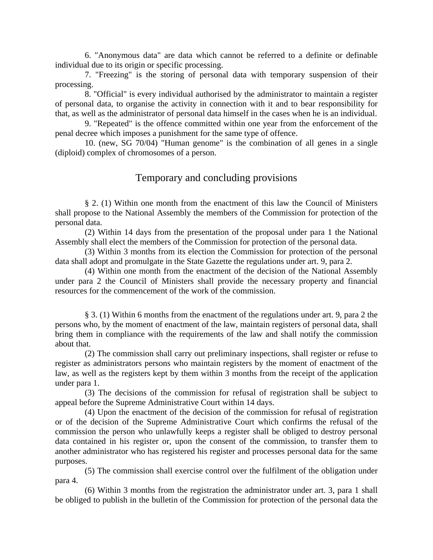6. "Anonymous data" are data which cannot be referred to a definite or definable individual due to its origin or specific processing.

7. "Freezing" is the storing of personal data with temporary suspension of their processing.

8. "Official" is every individual authorised by the administrator to maintain a register of personal data, to organise the activity in connection with it and to bear responsibility for that, as well as the administrator of personal data himself in the cases when he is an individual.

9. "Repeated" is the offence committed within one year from the enforcement of the penal decree which imposes a punishment for the same type of offence.

10. (new, SG 70/04) "Human genome" is the combination of all genes in a single (diploid) complex of chromosomes of a person.

## Temporary and concluding provisions

§ 2. (1) Within one month from the enactment of this law the Council of Ministers shall propose to the National Assembly the members of the Commission for protection of the personal data.

(2) Within 14 days from the presentation of the proposal under para 1 the National Assembly shall elect the members of the Commission for protection of the personal data.

(3) Within 3 months from its election the Commission for protection of the personal data shall adopt and promulgate in the State Gazette the regulations under art. 9, para 2.

(4) Within one month from the enactment of the decision of the National Assembly under para 2 the Council of Ministers shall provide the necessary property and financial resources for the commencement of the work of the commission.

§ 3. (1) Within 6 months from the enactment of the regulations under art. 9, para 2 the persons who, by the moment of enactment of the law, maintain registers of personal data, shall bring them in compliance with the requirements of the law and shall notify the commission about that.

(2) The commission shall carry out preliminary inspections, shall register or refuse to register as administrators persons who maintain registers by the moment of enactment of the law, as well as the registers kept by them within 3 months from the receipt of the application under para 1.

(3) The decisions of the commission for refusal of registration shall be subject to appeal before the Supreme Administrative Court within 14 days.

(4) Upon the enactment of the decision of the commission for refusal of registration or of the decision of the Supreme Administrative Court which confirms the refusal of the commission the person who unlawfully keeps a register shall be obliged to destroy personal data contained in his register or, upon the consent of the commission, to transfer them to another administrator who has registered his register and processes personal data for the same purposes.

(5) The commission shall exercise control over the fulfilment of the obligation under para 4.

(6) Within 3 months from the registration the administrator under art. 3, para 1 shall be obliged to publish in the bulletin of the Commission for protection of the personal data the